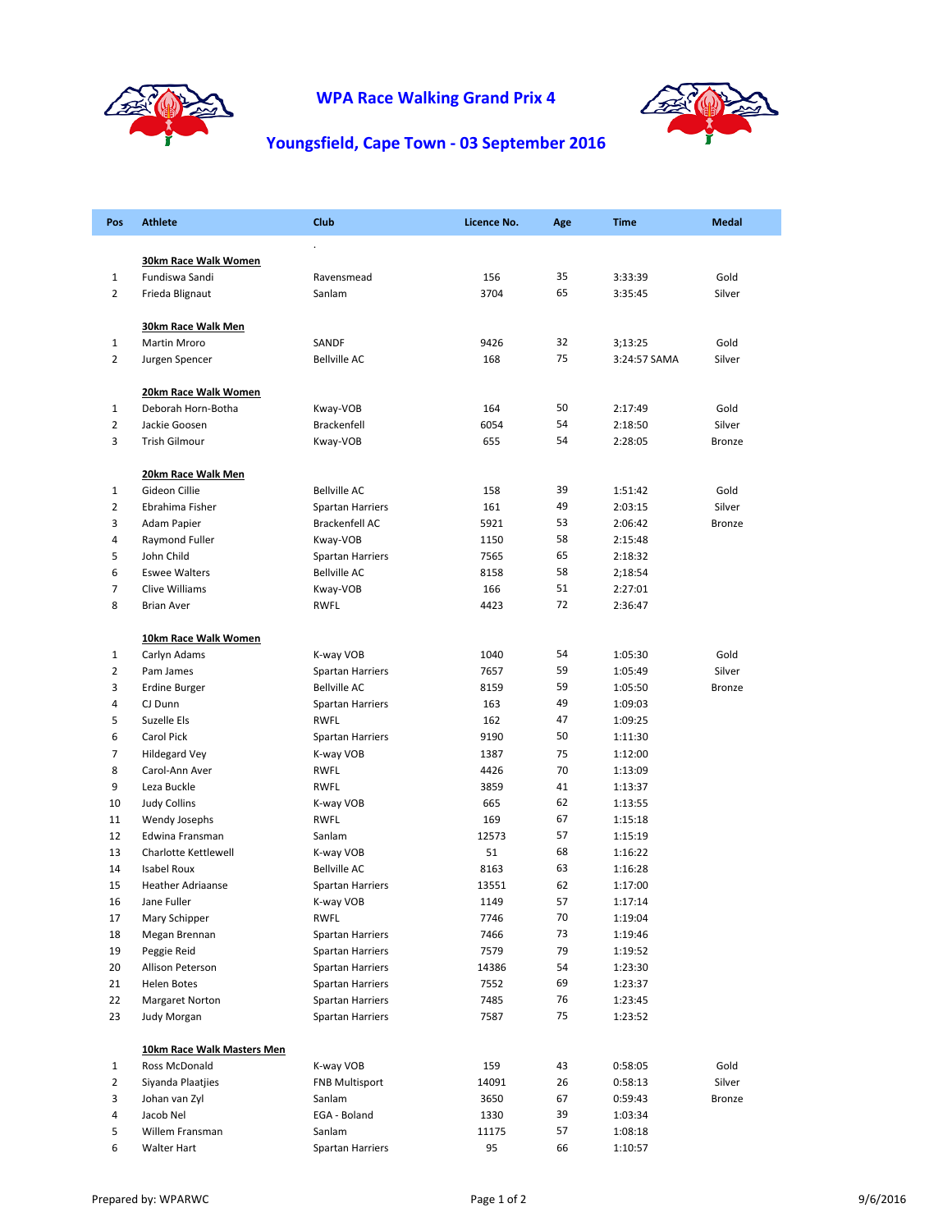

## **WPA Race Walking Grand Prix 4**



## **Youngsfield, Cape Town ‐ 03 September 2016**

| <b>Pos</b>     | <b>Athlete</b>             | <b>Club</b>             | Licence No. | Age | <b>Time</b>  | <b>Medal</b>  |
|----------------|----------------------------|-------------------------|-------------|-----|--------------|---------------|
|                |                            |                         |             |     |              |               |
|                | 30km Race Walk Women       |                         |             |     |              |               |
| $\mathbf{1}$   | Fundiswa Sandi             | Ravensmead              | 156         | 35  | 3:33:39      | Gold          |
| $\overline{2}$ | Frieda Blignaut            | Sanlam                  | 3704        | 65  | 3:35:45      | Silver        |
|                | <b>30km Race Walk Men</b>  |                         |             |     |              |               |
| $\mathbf{1}$   | Martin Mroro               | SANDF                   | 9426        | 32  | 3;13:25      | Gold          |
| $\overline{2}$ | Jurgen Spencer             | <b>Bellville AC</b>     | 168         | 75  | 3:24:57 SAMA | Silver        |
|                | 20km Race Walk Women       |                         |             |     |              |               |
| $\mathbf{1}$   | Deborah Horn-Botha         | Kway-VOB                | 164         | 50  | 2:17:49      | Gold          |
| $\overline{2}$ | Jackie Goosen              | Brackenfell             | 6054        | 54  | 2:18:50      | Silver        |
| 3              | Trish Gilmour              | Kway-VOB                | 655         | 54  | 2:28:05      | <b>Bronze</b> |
|                | 20km Race Walk Men         |                         |             |     |              |               |
| $\mathbf{1}$   | Gideon Cillie              | <b>Bellville AC</b>     | 158         | 39  | 1:51:42      | Gold          |
| 2              | Ebrahima Fisher            | Spartan Harriers        | 161         | 49  | 2:03:15      | Silver        |
| 3              | Adam Papier                | Brackenfell AC          | 5921        | 53  | 2:06:42      | <b>Bronze</b> |
| 4              | Raymond Fuller             | Kway-VOB                | 1150        | 58  | 2:15:48      |               |
| 5              | John Child                 | <b>Spartan Harriers</b> | 7565        | 65  | 2:18:32      |               |
| 6              | <b>Eswee Walters</b>       | <b>Bellville AC</b>     | 8158        | 58  | 2;18:54      |               |
| 7              | Clive Williams             | Kway-VOB                | 166         | 51  | 2:27:01      |               |
| 8              | <b>Brian Aver</b>          | <b>RWFL</b>             | 4423        | 72  | 2:36:47      |               |
|                | 10km Race Walk Women       |                         |             |     |              |               |
| 1              | Carlyn Adams               | K-way VOB               | 1040        | 54  | 1:05:30      | Gold          |
| $\overline{2}$ | Pam James                  | Spartan Harriers        | 7657        | 59  | 1:05:49      | Silver        |
| 3              | <b>Erdine Burger</b>       | <b>Bellville AC</b>     | 8159        | 59  | 1:05:50      | Bronze        |
| 4              | CJ Dunn                    | Spartan Harriers        | 163         | 49  | 1:09:03      |               |
| 5              | Suzelle Els                | <b>RWFL</b>             | 162         | 47  | 1:09:25      |               |
| 6              | Carol Pick                 | Spartan Harriers        | 9190        | 50  | 1:11:30      |               |
| $\overline{7}$ | Hildegard Vey              | K-way VOB               | 1387        | 75  | 1:12:00      |               |
| 8              | Carol-Ann Aver             | <b>RWFL</b>             | 4426        | 70  | 1:13:09      |               |
| 9              | Leza Buckle                | <b>RWFL</b>             | 3859        | 41  | 1:13:37      |               |
| 10             | <b>Judy Collins</b>        | K-way VOB               | 665         | 62  | 1:13:55      |               |
| 11             | Wendy Josephs              | <b>RWFL</b>             | 169         | 67  | 1:15:18      |               |
| 12             | Edwina Fransman            | Sanlam                  | 12573       | 57  | 1:15:19      |               |
| 13             | Charlotte Kettlewell       | K-way VOB               | 51          | 68  | 1:16:22      |               |
| 14             | <b>Isabel Roux</b>         | <b>Bellville AC</b>     | 8163        | 63  | 1:16:28      |               |
| 15             | <b>Heather Adriaanse</b>   | Spartan Harriers        | 13551       | 62  | 1:17:00      |               |
| 16             | Jane Fuller                | K-way VOB               | 1149        | 57  | 1:17:14      |               |
| 17             | Mary Schipper              | RWFL                    | 7746        | 70  | 1:19:04      |               |
| 18             | Megan Brennan              | <b>Spartan Harriers</b> | 7466        | 73  | 1:19:46      |               |
| 19             | Peggie Reid                | <b>Spartan Harriers</b> | 7579        | 79  | 1:19:52      |               |
| 20             | Allison Peterson           | Spartan Harriers        | 14386       | 54  | 1:23:30      |               |
| 21             | Helen Botes                | Spartan Harriers        | 7552        | 69  | 1:23:37      |               |
| 22             | <b>Margaret Norton</b>     | Spartan Harriers        | 7485        | 76  | 1:23:45      |               |
| 23             | Judy Morgan                | Spartan Harriers        | 7587        | 75  | 1:23:52      |               |
|                | 10km Race Walk Masters Men |                         |             |     |              |               |
| 1              | Ross McDonald              | K-way VOB               | 159         | 43  | 0:58:05      | Gold          |
| $\overline{2}$ | Siyanda Plaatjies          | <b>FNB Multisport</b>   | 14091       | 26  | 0:58:13      | Silver        |
| 3              | Johan van Zyl              | Sanlam                  | 3650        | 67  | 0:59:43      | Bronze        |
| 4              | Jacob Nel                  | EGA - Boland            | 1330        | 39  | 1:03:34      |               |
| 5              | Willem Fransman            | Sanlam                  | 11175       | 57  | 1:08:18      |               |
| 6              | Walter Hart                | <b>Spartan Harriers</b> | 95          | 66  | 1:10:57      |               |